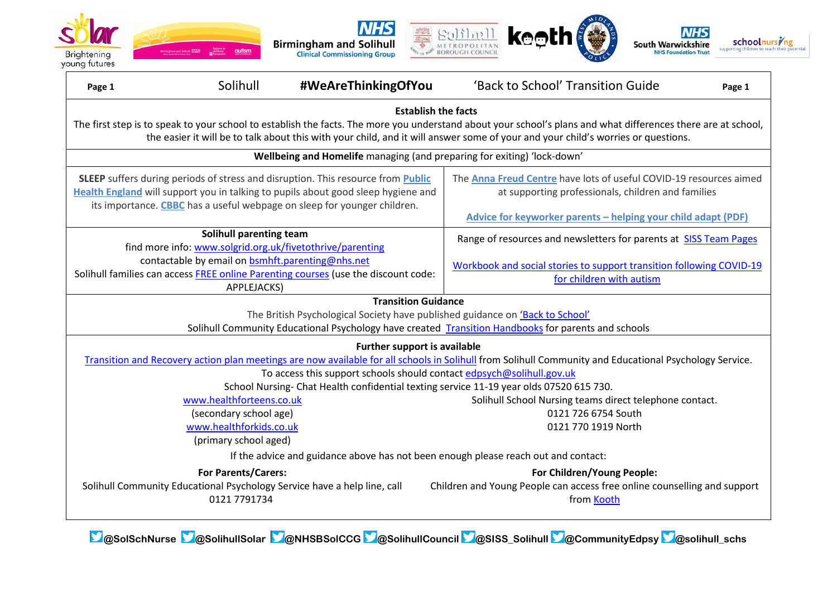







| Page 1                                                                                                                                                                                                                                                                                                                                                    | Solihull                                         | #WeAreThinkingOfYou | 'Back to School' Transition Guide                                                                                        | Page 1 |  |  |  |  |  |
|-----------------------------------------------------------------------------------------------------------------------------------------------------------------------------------------------------------------------------------------------------------------------------------------------------------------------------------------------------------|--------------------------------------------------|---------------------|--------------------------------------------------------------------------------------------------------------------------|--------|--|--|--|--|--|
| <b>Establish the facts</b><br>The first step is to speak to your school to establish the facts. The more you understand about your school's plans and what differences there are at school,<br>the easier it will be to talk about this with your child, and it will answer some of your and your child's worries or questions.                           |                                                  |                     |                                                                                                                          |        |  |  |  |  |  |
| Wellbeing and Homelife managing (and preparing for exiting) 'lock-down'                                                                                                                                                                                                                                                                                   |                                                  |                     |                                                                                                                          |        |  |  |  |  |  |
| SLEEP suffers during periods of stress and disruption. This resource from <b>Public</b><br>Health England will support you in talking to pupils about good sleep hygiene and<br>its importance. CBBC has a useful webpage on sleep for younger children.                                                                                                  |                                                  |                     | The Anna Freud Centre have lots of useful COVID-19 resources aimed<br>at supporting professionals, children and families |        |  |  |  |  |  |
|                                                                                                                                                                                                                                                                                                                                                           |                                                  |                     | Advice for keyworker parents - helping your child adapt (PDF)                                                            |        |  |  |  |  |  |
| Solihull parenting team<br>find more info: www.solgrid.org.uk/fivetothrive/parenting<br>contactable by email on bsmhft.parenting@nhs.net<br>Solihull families can access FREE online Parenting courses (use the discount code:<br>APPLEJACKS)                                                                                                             |                                                  |                     | Range of resources and newsletters for parents at SISS Team Pages                                                        |        |  |  |  |  |  |
|                                                                                                                                                                                                                                                                                                                                                           |                                                  |                     | Workbook and social stories to support transition following COVID-19<br>for children with autism                         |        |  |  |  |  |  |
| <b>Transition Guidance</b>                                                                                                                                                                                                                                                                                                                                |                                                  |                     |                                                                                                                          |        |  |  |  |  |  |
|                                                                                                                                                                                                                                                                                                                                                           |                                                  |                     | The British Psychological Society have published guidance on 'Back to School'                                            |        |  |  |  |  |  |
| Solihull Community Educational Psychology have created Transition Handbooks for parents and schools                                                                                                                                                                                                                                                       |                                                  |                     |                                                                                                                          |        |  |  |  |  |  |
| Further support is available<br>Transition and Recovery action plan meetings are now available for all schools in Solihull from Solihull Community and Educational Psychology Service.<br>To access this support schools should contact edpsych@solihull.gov.uk<br>School Nursing-Chat Health confidential texting service 11-19 year olds 07520 615 730. |                                                  |                     |                                                                                                                          |        |  |  |  |  |  |
|                                                                                                                                                                                                                                                                                                                                                           | www.healthforteens.co.uk                         |                     | Solihull School Nursing teams direct telephone contact.                                                                  |        |  |  |  |  |  |
|                                                                                                                                                                                                                                                                                                                                                           | (secondary school age)                           |                     | 0121 726 6754 South                                                                                                      |        |  |  |  |  |  |
|                                                                                                                                                                                                                                                                                                                                                           | www.healthforkids.co.uk<br>(primary school aged) |                     | 0121 770 1919 North                                                                                                      |        |  |  |  |  |  |
| If the advice and guidance above has not been enough please reach out and contact:                                                                                                                                                                                                                                                                        |                                                  |                     |                                                                                                                          |        |  |  |  |  |  |
| <b>For Parents/Carers:</b><br>For Children/Young People:                                                                                                                                                                                                                                                                                                  |                                                  |                     |                                                                                                                          |        |  |  |  |  |  |
| Solihull Community Educational Psychology Service have a help line, call<br>0121 7791734                                                                                                                                                                                                                                                                  |                                                  |                     | Children and Young People can access free online counselling and support<br>from Kooth                                   |        |  |  |  |  |  |

**@SolSchNurse @SolihullSolar @NHSBSolCCG @SolihullCouncil @SISS\_Solihull @CommunityEdpsy @solihull\_schs**